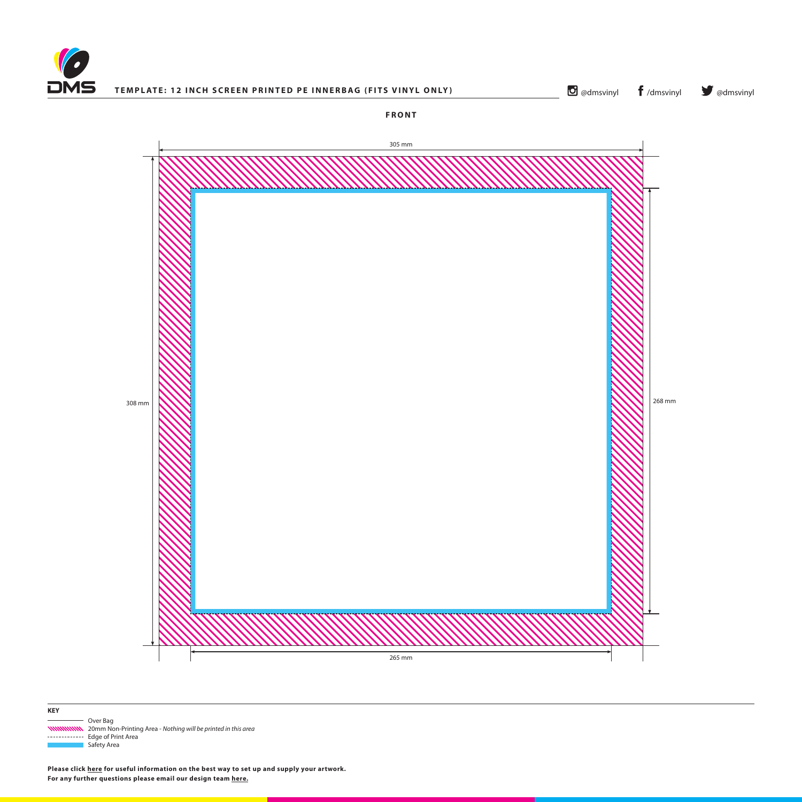



 Over Bag 20mm Non-Printing Area - *Nothing will be printed in this area* ------------ Edge of Print Area Safety Area

**Please click [here](http://www.discmanufacturingservices.com/vinyl/templates#artwork-specifications) for useful information on the best way to set up and supply your artwork. For any further questions please email our design team [here](mailto:graphics%40discmanufacturingservices.com?subject=Template%20Enquiry).**

**KEY**